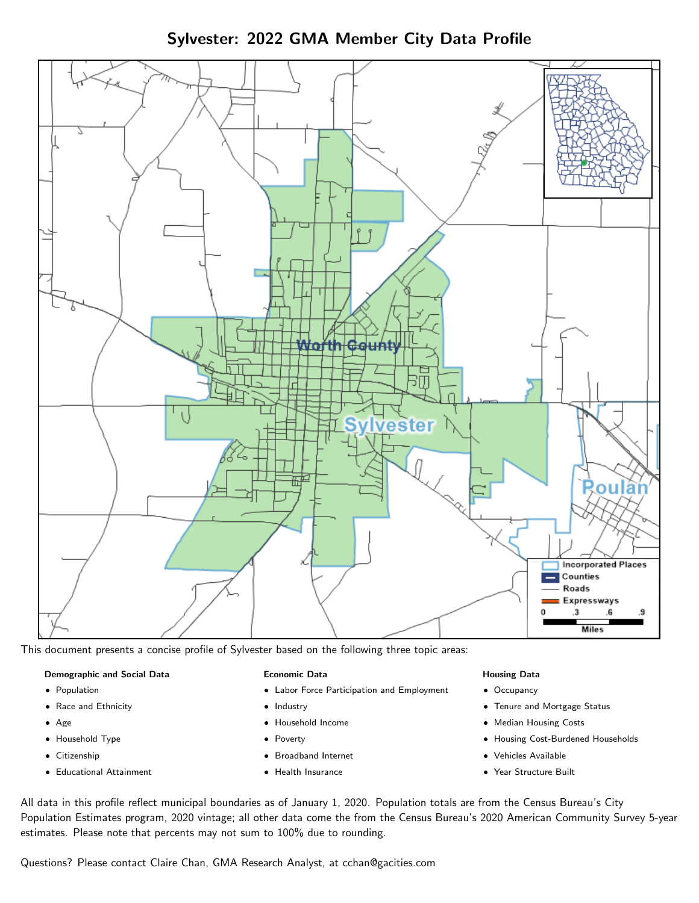Sylvester: 2022 GMA Member City Data Profile



This document presents a concise profile of Sylvester based on the following three topic areas:

#### Demographic and Social Data

- **•** Population
- Race and Ethnicity
- Age
- Household Type
- **Citizenship**
- Educational Attainment

#### Economic Data

- Labor Force Participation and Employment
- Industry
- Household Income
- Poverty
- Broadband Internet
- Health Insurance

#### Housing Data

- Occupancy
- Tenure and Mortgage Status
- Median Housing Costs
- Housing Cost-Burdened Households
- Vehicles Available
- Year Structure Built

All data in this profile reflect municipal boundaries as of January 1, 2020. Population totals are from the Census Bureau's City Population Estimates program, 2020 vintage; all other data come the from the Census Bureau's 2020 American Community Survey 5-year estimates. Please note that percents may not sum to 100% due to rounding.

Questions? Please contact Claire Chan, GMA Research Analyst, at [cchan@gacities.com.](mailto:cchan@gacities.com)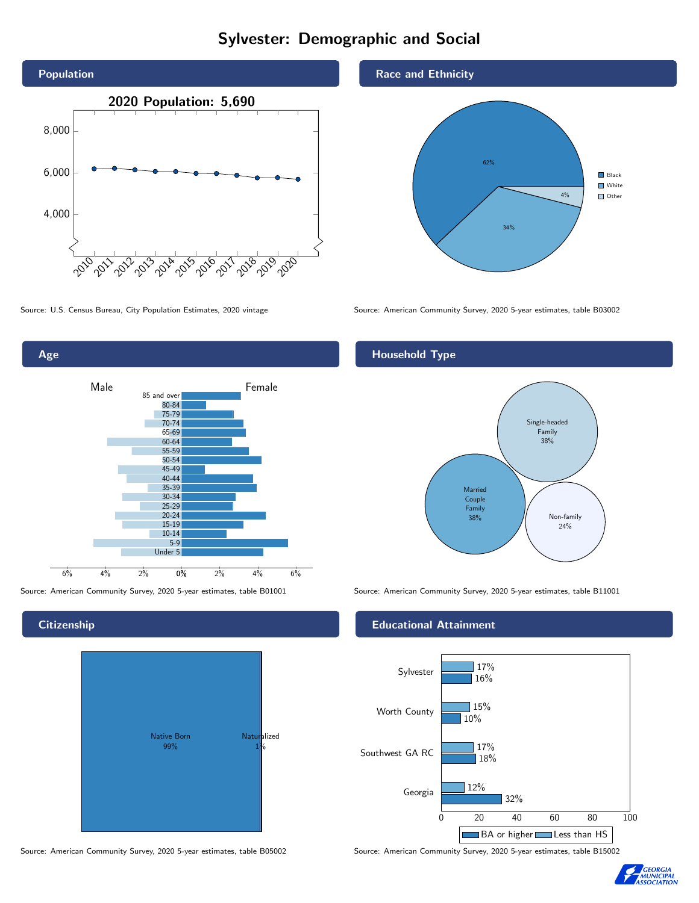# Sylvester: Demographic and Social





**Citizenship** 



Race and Ethnicity



Source: U.S. Census Bureau, City Population Estimates, 2020 vintage Source: American Community Survey, 2020 5-year estimates, table B03002

#### Household Type



Source: American Community Survey, 2020 5-year estimates, table B01001 Source: American Community Survey, 2020 5-year estimates, table B11001

#### Educational Attainment



Source: American Community Survey, 2020 5-year estimates, table B05002 Source: American Community Survey, 2020 5-year estimates, table B15002

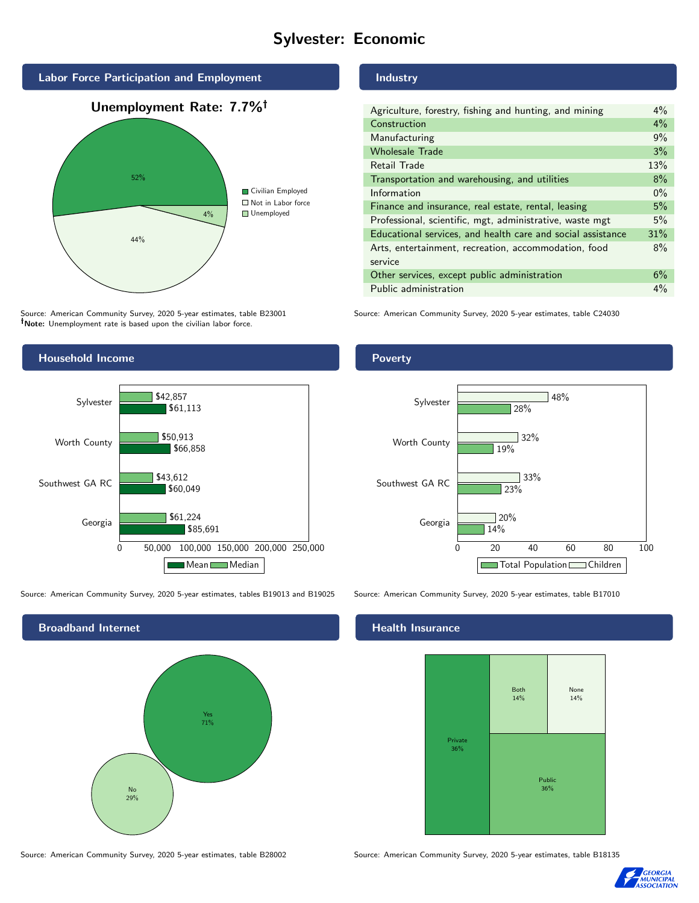## Sylvester: Economic



Source: American Community Survey, 2020 5-year estimates, table B23001 Note: Unemployment rate is based upon the civilian labor force.

#### **Industry**

| Agriculture, forestry, fishing and hunting, and mining      | $4\%$ |
|-------------------------------------------------------------|-------|
| Construction                                                | 4%    |
| Manufacturing                                               | 9%    |
| <b>Wholesale Trade</b>                                      | 3%    |
| Retail Trade                                                | 13%   |
| Transportation and warehousing, and utilities               | 8%    |
| Information                                                 | $0\%$ |
| Finance and insurance, real estate, rental, leasing         | 5%    |
| Professional, scientific, mgt, administrative, waste mgt    | 5%    |
| Educational services, and health care and social assistance | 31%   |
| Arts, entertainment, recreation, accommodation, food        | 8%    |
| service                                                     |       |
| Other services, except public administration                | 6%    |
| Public administration                                       | 4%    |

Source: American Community Survey, 2020 5-year estimates, table C24030



Source: American Community Survey, 2020 5-year estimates, tables B19013 and B19025 Source: American Community Survey, 2020 5-year estimates, table B17010

Broadband Internet No 29% Yes 71%

#### Health Insurance



Source: American Community Survey, 2020 5-year estimates, table B28002 Source: American Community Survey, 2020 5-year estimates, table B18135



#### Poverty